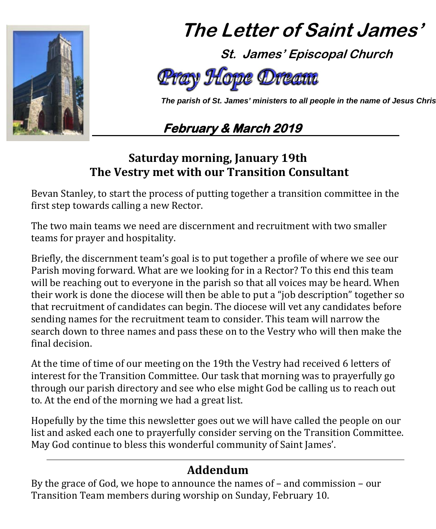

# **The Letter of Saint James'**

 **St. James' Episcopal Church**



 *The parish of St. James' ministers to all people in the name of Jesus Chris*

## **February & March 2019**

## **Saturday morning, January 19th The Vestry met with our Transition Consultant**

Bevan Stanley, to start the process of putting together a transition committee in the first step towards calling a new Rector.

The two main teams we need are discernment and recruitment with two smaller teams for prayer and hospitality.

Briefly, the discernment team's goal is to put together a profile of where we see our Parish moving forward. What are we looking for in a Rector? To this end this team will be reaching out to everyone in the parish so that all voices may be heard. When their work is done the diocese will then be able to put a "job description" together so that recruitment of candidates can begin. The diocese will vet any candidates before sending names for the recruitment team to consider. This team will narrow the search down to three names and pass these on to the Vestry who will then make the final decision.

At the time of time of our meeting on the 19th the Vestry had received 6 letters of interest for the Transition Committee. Our task that morning was to prayerfully go through our parish directory and see who else might God be calling us to reach out to. At the end of the morning we had a great list.

Hopefully by the time this newsletter goes out we will have called the people on our list and asked each one to prayerfully consider serving on the Transition Committee. May God continue to bless this wonderful community of Saint James'.

## **Addendum**

By the grace of God, we hope to announce the names of – and commission – our Transition Team members during worship on Sunday, February 10.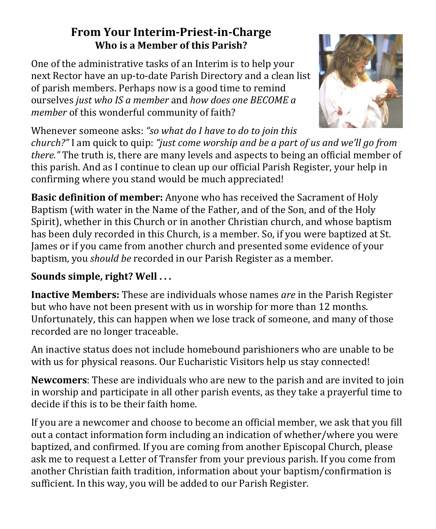## **From Your Interim-Priest-in-Charge Who is a Member of this Parish?**

One of the administrative tasks of an Interim is to help your next Rector have an up-to-date Parish Directory and a clean list of parish members. Perhaps now is a good time to remind ourselves *just who IS a member* and *how does one BECOME a member* of this wonderful community of faith?



Whenever someone asks: *"so what do I have to do to join this* 

*church?"* I am quick to quip: *"just come worship and be a part of us and we'll go from there."* The truth is, there are many levels and aspects to being an official member of this parish. And as I continue to clean up our official Parish Register, your help in confirming where you stand would be much appreciated!

**Basic definition of member:** Anyone who has received the Sacrament of Holy Baptism (with water in the Name of the Father, and of the Son, and of the Holy Spirit), whether in this Church or in another Christian church, and whose baptism has been duly recorded in this Church, is a member. So, if you were baptized at St. James or if you came from another church and presented some evidence of your baptism, you *should be* recorded in our Parish Register as a member.

## **Sounds simple, right? Well . . .**

**Inactive Members:** These are individuals whose names *are* in the Parish Register but who have not been present with us in worship for more than 12 months. Unfortunately, this can happen when we lose track of someone, and many of those recorded are no longer traceable.

An inactive status does not include homebound parishioners who are unable to be with us for physical reasons. Our Eucharistic Visitors help us stay connected!

**Newcomers**: These are individuals who are new to the parish and are invited to join in worship and participate in all other parish events, as they take a prayerful time to decide if this is to be their faith home.

If you are a newcomer and choose to become an official member, we ask that you fill out a contact information form including an indication of whether/where you were baptized, and confirmed. If you are coming from another Episcopal Church, please ask me to request a Letter of Transfer from your previous parish. If you come from another Christian faith tradition, information about your baptism/confirmation is sufficient. In this way, you will be added to our Parish Register.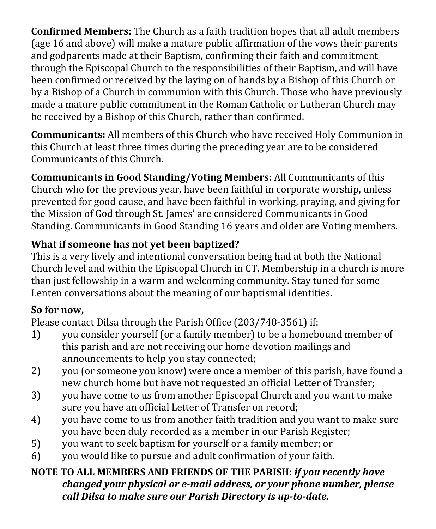**Confirmed Members:** The Church as a faith tradition hopes that all adult members (age 16 and above) will make a mature public affirmation of the vows their parents and godparents made at their Baptism, confirming their faith and commitment through the Episcopal Church to the responsibilities of their Baptism, and will have been confirmed or received by the laying on of hands by a Bishop of this Church or by a Bishop of a Church in communion with this Church. Those who have previously made a mature public commitment in the Roman Catholic or Lutheran Church may be received by a Bishop of this Church, rather than confirmed.

**Communicants:** All members of this Church who have received Holy Communion in this Church at least three times during the preceding year are to be considered Communicants of this Church.

**Communicants in Good Standing/Voting Members:** All Communicants of this Church who for the previous year, have been faithful in corporate worship, unless prevented for good cause, and have been faithful in working, praying, and giving for the Mission of God through St. James' are considered Communicants in Good Standing. Communicants in Good Standing 16 years and older are Voting members.

## **What if someone has not yet been baptized?**

This is a very lively and intentional conversation being had at both the National Church level and within the Episcopal Church in CT. Membership in a church is more than just fellowship in a warm and welcoming community. Stay tuned for some Lenten conversations about the meaning of our baptismal identities.

## **So for now,**

Please contact Dilsa through the Parish Office (203/748-3561) if:<br>1) vou consider yourself (or a family member) to be a homeb

- 1) you consider yourself (or a family member) to be a homebound member of this parish and are not receiving our home devotion mailings and announcements to help you stay connected;
- 2) you (or someone you know) were once a member of this parish, have found a new church home but have not requested an official Letter of Transfer;
- 3) you have come to us from another Episcopal Church and you want to make sure you have an official Letter of Transfer on record;
- 4) you have come to us from another faith tradition and you want to make sure you have been duly recorded as a member in our Parish Register;
- 5) you want to seek baptism for yourself or a family member; or<br>6) you would like to pursue and adult confirmation of your faith.
- you would like to pursue and adult confirmation of your faith.

### **NOTE TO ALL MEMBERS AND FRIENDS OF THE PARISH:** *if you recently have changed your physical or e-mail address, or your phone number, please call Dilsa to make sure our Parish Directory is up-to-date.*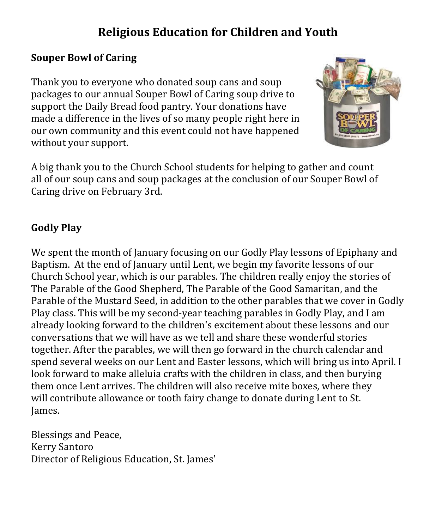## **Religious Education for Children and Youth**

#### **Souper Bowl of Caring**

Thank you to everyone who donated soup cans and soup packages to our annual Souper Bowl of Caring soup drive to support the Daily Bread food pantry. Your donations have made a difference in the lives of so many people right here in our own community and this event could not have happened without your support.



A big thank you to the Church School students for helping to gather and count all of our soup cans and soup packages at the conclusion of our Souper Bowl of Caring drive on February 3rd.

### **Godly Play**

We spent the month of January focusing on our Godly Play lessons of Epiphany and Baptism. At the end of January until Lent, we begin my favorite lessons of our Church School year, which is our parables. The children really enjoy the stories of The Parable of the Good Shepherd, The Parable of the Good Samaritan, and the Parable of the Mustard Seed, in addition to the other parables that we cover in Godly Play class. This will be my second-year teaching parables in Godly Play, and I am already looking forward to the children's excitement about these lessons and our conversations that we will have as we tell and share these wonderful stories together. After the parables, we will then go forward in the church calendar and spend several weeks on our Lent and Easter lessons, which will bring us into April. I look forward to make alleluia crafts with the children in class, and then burying them once Lent arrives. The children will also receive mite boxes, where they will contribute allowance or tooth fairy change to donate during Lent to St. James.

Blessings and Peace, Kerry Santoro Director of Religious Education, St. James'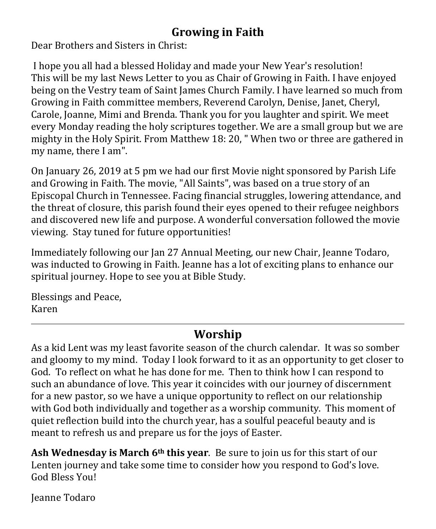## **Growing in Faith**

Dear Brothers and Sisters in Christ:

I hope you all had a blessed Holiday and made your New Year's resolution! This will be my last News Letter to you as Chair of Growing in Faith. I have enjoyed being on the Vestry team of Saint James Church Family. I have learned so much from Growing in Faith committee members, Reverend Carolyn, Denise, Janet, Cheryl, Carole, Joanne, Mimi and Brenda. Thank you for you laughter and spirit. We meet every Monday reading the holy scriptures together. We are a small group but we are mighty in the Holy Spirit. From Matthew 18: 20, " When two or three are gathered in my name, there I am".

On January 26, 2019 at 5 pm we had our first Movie night sponsored by Parish Life and Growing in Faith. The movie, "All Saints", was based on a true story of an Episcopal Church in Tennessee. Facing financial struggles, lowering attendance, and the threat of closure, this parish found their eyes opened to their refugee neighbors and discovered new life and purpose. A wonderful conversation followed the movie viewing. Stay tuned for future opportunities!

Immediately following our Jan 27 Annual Meeting, our new Chair, Jeanne Todaro, was inducted to Growing in Faith. Jeanne has a lot of exciting plans to enhance our spiritual journey. Hope to see you at Bible Study.

Blessings and Peace, Karen

## **Worship**

As a kid Lent was my least favorite season of the church calendar. It was so somber and gloomy to my mind. Today I look forward to it as an opportunity to get closer to God. To reflect on what he has done for me. Then to think how I can respond to such an abundance of love. This year it coincides with our journey of discernment for a new pastor, so we have a unique opportunity to reflect on our relationship with God both individually and together as a worship community. This moment of quiet reflection build into the church year, has a soulful peaceful beauty and is meant to refresh us and prepare us for the joys of Easter.

**Ash Wednesday is March 6th this year**. Be sure to join us for this start of our Lenten journey and take some time to consider how you respond to God's love. God Bless You!

Jeanne Todaro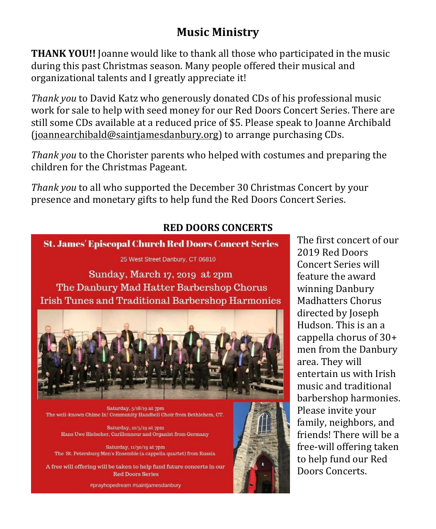## **Music Ministry**

**THANK YOU!!** Joanne would like to thank all those who participated in the music during this past Christmas season. Many people offered their musical and organizational talents and I greatly appreciate it!

*Thank you* to David Katz who generously donated CDs of his professional music work for sale to help with seed money for our Red Doors Concert Series. There are still some CDs available at a reduced price of \$5. Please speak to Joanne Archibald [\(joannearchibald@saintjamesdanbury.org\)](mailto:joannearchibald@saintjamesdanbury.org) to arrange purchasing CDs.

*Thank you* to the Chorister parents who helped with costumes and preparing the children for the Christmas Pageant.

*Thank you* to all who supported the December 30 Christmas Concert by your presence and monetary gifts to help fund the Red Doors Concert Series.

## **RED DOORS CONCERTS**

**St. James' Episcopal Church Red Doors Concert Series** 

25 West Street Danbury, CT 06810

Sunday, March 17, 2019 at 2pm The Danbury Mad Hatter Barbershop Chorus **Irish Tunes and Traditional Barbershop Harmonies** 



Saturday, 5/18/19 at 7pm The well-known Chime In! Community Handbell Choir from Bethlehem, CT.

Saturday, 10/5/19 at 7pm Hans Uwe Hielscher, Carillonneur and Organist from Germany

Saturday, 11/30/19 at 7pm The St. Petersburg Men's Ensemble (a cappella quartet) from Russia

A free will offering will be taken to help fund future concerts in our **Red Doors Series** 

#prayhopedream #saintjamesdanbury

The first concert of our 2019 Red Doors Concert Series will feature the award winning Danbury Madhatters Chorus directed by Joseph Hudson. This is an a cappella chorus of 30+ men from the Danbury area. They will entertain us with Irish music and traditional barbershop harmonies. Please invite your family, neighbors, and friends! There will be a free-will offering taken to help fund our Red Doors Concerts.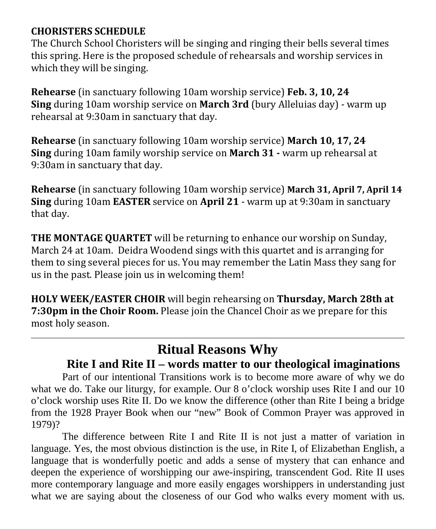#### **CHORISTERS SCHEDULE**

The Church School Choristers will be singing and ringing their bells several times this spring. Here is the proposed schedule of rehearsals and worship services in which they will be singing.

**Rehearse** (in sanctuary following 10am worship service) **Feb. 3, 10, 24 Sing** during 10am worship service on **March 3rd** (bury Alleluias day) - warm up rehearsal at 9:30am in sanctuary that day.

**Rehearse** (in sanctuary following 10am worship service) **March 10, 17, 24 Sing** during 10am family worship service on **March 31 -** warm up rehearsal at 9:30am in sanctuary that day.

**Rehearse** (in sanctuary following 10am worship service) **March 31, April 7, April 14 Sing** during 10am **EASTER** service on **April 21** - warm up at 9:30am in sanctuary that day.

**THE MONTAGE QUARTET** will be returning to enhance our worship on Sunday, March 24 at 10am. Deidra Woodend sings with this quartet and is arranging for them to sing several pieces for us. You may remember the Latin Mass they sang for us in the past. Please join us in welcoming them!

**HOLY WEEK/EASTER CHOIR** will begin rehearsing on **Thursday, March 28th at 7:30pm in the Choir Room.** Please join the Chancel Choir as we prepare for this most holy season.

## **Ritual Reasons Why**

## **Rite I and Rite II – words matter to our theological imaginations**

Part of our intentional Transitions work is to become more aware of why we do what we do. Take our liturgy, for example. Our 8 o'clock worship uses Rite I and our 10 o'clock worship uses Rite II. Do we know the difference (other than Rite I being a bridge from the 1928 Prayer Book when our "new" Book of Common Prayer was approved in 1979)?

The difference between Rite I and Rite II is not just a matter of variation in language. Yes, the most obvious distinction is the use, in Rite I, of Elizabethan English, a language that is wonderfully poetic and adds a sense of mystery that can enhance and deepen the experience of worshipping our awe-inspiring, transcendent God. Rite II uses more contemporary language and more easily engages worshippers in understanding just what we are saying about the closeness of our God who walks every moment with us.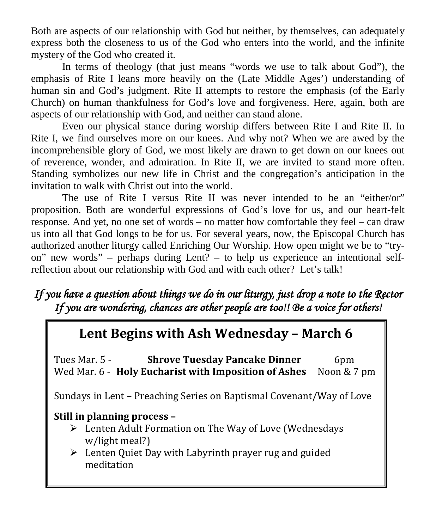Both are aspects of our relationship with God but neither, by themselves, can adequately express both the closeness to us of the God who enters into the world, and the infinite mystery of the God who created it.

In terms of theology (that just means "words we use to talk about God"), the emphasis of Rite I leans more heavily on the (Late Middle Ages') understanding of human sin and God's judgment. Rite II attempts to restore the emphasis (of the Early Church) on human thankfulness for God's love and forgiveness. Here, again, both are aspects of our relationship with God, and neither can stand alone.

Even our physical stance during worship differs between Rite I and Rite II. In Rite I, we find ourselves more on our knees. And why not? When we are awed by the incomprehensible glory of God, we most likely are drawn to get down on our knees out of reverence, wonder, and admiration. In Rite II, we are invited to stand more often. Standing symbolizes our new life in Christ and the congregation's anticipation in the invitation to walk with Christ out into the world.

The use of Rite I versus Rite II was never intended to be an "either/or" proposition. Both are wonderful expressions of God's love for us, and our heart-felt response. And yet, no one set of words – no matter how comfortable they feel – can draw us into all that God longs to be for us. For several years, now, the Episcopal Church has authorized another liturgy called Enriching Our Worship. How open might we be to "tryon" new words" – perhaps during Lent? – to help us experience an intentional selfreflection about our relationship with God and with each other? Let's talk!

## *If you have a question about things we do in our liturgy, just drop a note to the Rector If you are wondering, chances are other people are too!! Be a voice for others!*

## **Lent Begins with Ash Wednesday – March 6**

Tues Mar. 5 - **Shrove Tuesday Pancake Dinner** 6pm<br>Wed Mar. 6 - **Holy Eucharist with Imposition of Ashes** Noon & 7 pm Wed Mar. 6 - **Holy Eucharist with Imposition of Ashes** 

Sundays in Lent – Preaching Series on Baptismal Covenant/Way of Love

#### **Still in planning process –**

- Lenten Adult Formation on The Way of Love (Wednesdays w/light meal?)
- Lenten Quiet Day with Labyrinth prayer rug and guided meditation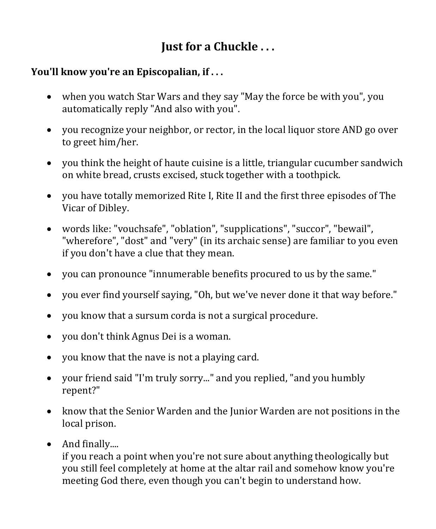## **Just for a Chuckle . . .**

### **You'll know you're an Episcopalian, if . . .**

- when you watch Star Wars and they say "May the force be with you", you automatically reply "And also with you".
- you recognize your neighbor, or rector, in the local liquor store AND go over to greet him/her.
- you think the height of haute cuisine is a little, triangular cucumber sandwich on white bread, crusts excised, stuck together with a toothpick.
- you have totally memorized Rite I, Rite II and the first three episodes of The Vicar of Dibley.
- words like: "vouchsafe", "oblation", "supplications", "succor", "bewail", "wherefore", "dost" and "very" (in its archaic sense) are familiar to you even if you don't have a clue that they mean.
- you can pronounce "innumerable benefits procured to us by the same."
- you ever find yourself saying, "Oh, but we've never done it that way before."
- you know that a sursum corda is not a surgical procedure.
- you don't think Agnus Dei is a woman.
- you know that the nave is not a playing card.
- your friend said "I'm truly sorry..." and you replied, "and you humbly repent?"
- know that the Senior Warden and the Junior Warden are not positions in the local prison.
- And finally....

if you reach a point when you're not sure about anything theologically but you still feel completely at home at the altar rail and somehow know you're meeting God there, even though you can't begin to understand how.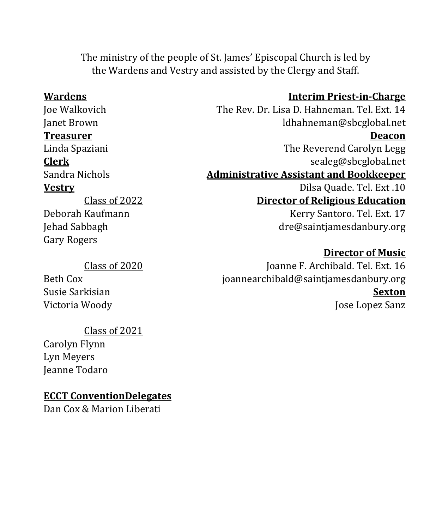The ministry of the people of St. James' Episcopal Church is led by the Wardens and Vestry and assisted by the Clergy and Staff.

**Treasurer** 

Class of 2022 Deborah Kaufmann Jehad Sabbagh Gary Rogers

#### Class of 2020

Beth Cox Susie Sarkisian Victoria Woody

#### Class of 2021

Carolyn Flynn Lyn Meyers Jeanne Todaro

#### **ECCT ConventionDelegates**

Dan Cox & Marion Liberati

#### **Wardens Interim Priest-in-Charge**

Joe Walkovich The Rev. Dr. Lisa D. Hahneman. Tel. Ext. 14<br>Janet Brown Idhahneman@sbcglobal.net ldhahneman@sbcglobal.net<br>**Deacon** Linda Spaziani The Reverend Carolyn Legg **Clerk** [sealeg@sbcglobal.net](mailto:sealeg@sbcglobal.net) Sandra Nichols **Administrative Assistant and Bookkeeper Vestry Dilsa Quade. Tel. Ext .10 Director of Religious Education** Kerry Santoro. Tel. Ext. 17 [dre@saintjamesdanbury.org](mailto:dre@saintjamesdanbury.org)

#### **Director of Music**

Joanne F. Archibald. Tel. Ext. 16 [joannearchibald@saintjamesdanbury.org](mailto:joannearchibald@saintjamesdanbury.org) **Sexton** Jose Lopez Sanz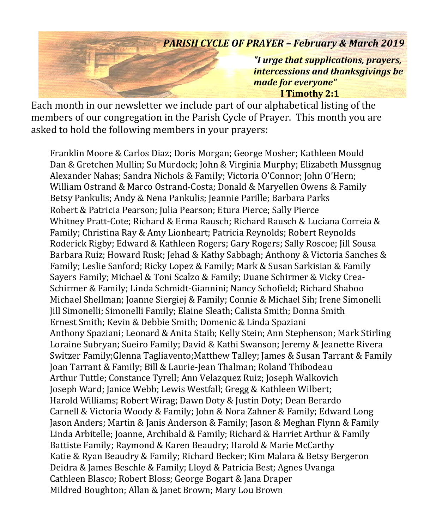## *PARISH CYCLE OF PRAYER – February & March 2019 "I urge that supplications, prayers, intercessions and thanksgivings be made for everyone"*  **I Timothy 2:1**

Each month in our newsletter we include part of our alphabetical listing of the members of our congregation in the Parish Cycle of Prayer. This month you are asked to hold the following members in your prayers:

Franklin Moore & Carlos Diaz; Doris Morgan; George Mosher; Kathleen Mould Dan & Gretchen Mullin; Su Murdock; John & Virginia Murphy; Elizabeth Mussgnug Alexander Nahas; Sandra Nichols & Family; Victoria O'Connor; John O'Hern; William Ostrand & Marco Ostrand-Costa; Donald & Maryellen Owens & Family Betsy Pankulis; Andy & Nena Pankulis; Jeannie Parille; Barbara Parks Robert & Patricia Pearson; Julia Pearson; Etura Pierce; Sally Pierce Whitney Pratt-Cote; Richard & Erma Rausch; Richard Rausch & Luciana Correia & Family; Christina Ray & Amy Lionheart; Patricia Reynolds; Robert Reynolds Roderick Rigby; Edward & Kathleen Rogers; Gary Rogers; Sally Roscoe; Jill Sousa Barbara Ruiz; Howard Rusk; Jehad & Kathy Sabbagh; Anthony & Victoria Sanches & Family; Leslie Sanford; Ricky Lopez & Family; Mark & Susan Sarkisian & Family Sayers Family; Michael & Toni Scalzo & Family; Duane Schirmer & Vicky Crea-Schirmer & Family; Linda Schmidt-Giannini; Nancy Schofield; Richard Shaboo Michael Shellman; Joanne Siergiej & Family; Connie & Michael Sih; Irene Simonelli Jill Simonelli; Simonelli Family; Elaine Sleath; Calista Smith; Donna Smith Ernest Smith; Kevin & Debbie Smith; Domenic & Linda Spaziani Anthony Spaziani; Leonard & Anita Staib; Kelly Stein; Ann Stephenson; Mark Stirling Loraine Subryan; Sueiro Family; David & Kathi Swanson; Jeremy & Jeanette Rivera Switzer Family;Glenna Tagliavento;Matthew Talley; James & Susan Tarrant & Family Joan Tarrant & Family; Bill & Laurie-Jean Thalman; Roland Thibodeau Arthur Tuttle; Constance Tyrell; Ann Velazquez Ruiz; Joseph Walkovich Joseph Ward; Janice Webb; Lewis Westfall; Gregg & Kathleen Wilbert; Harold Williams; Robert Wirag; Dawn Doty & Justin Doty; Dean Berardo Carnell & Victoria Woody & Family; John & Nora Zahner & Family; Edward Long Jason Anders; Martin & Janis Anderson & Family; Jason & Meghan Flynn & Family Linda Arbitelle; Joanne, Archibald & Family; Richard & Harriet Arthur & Family Battiste Family; Raymond & Karen Beaudry; Harold & Marie McCarthy Katie & Ryan Beaudry & Family; Richard Becker; Kim Malara & Betsy Bergeron Deidra & James Beschle & Family; Lloyd & Patricia Best; Agnes Uvanga Cathleen Blasco; Robert Bloss; George Bogart & Jana Draper Mildred Boughton; Allan & Janet Brown; Mary Lou Brown